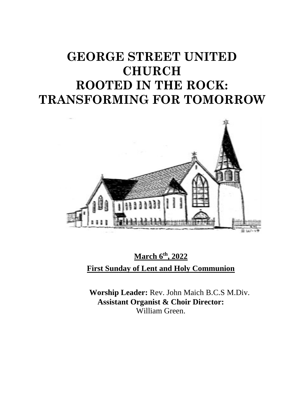# **GEORGE STREET UNITED CHURCH ROOTED IN THE ROCK: TRANSFORMING FOR TOMORROW**



**March 6th, 2022 First Sunday of Lent and Holy Communion**

**Worship Leader:** Rev. John Maich B.C.S M.Div. **Assistant Organist & Choir Director:**  William Green.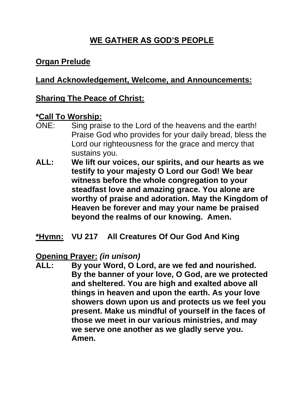# **WE GATHER AS GOD'S PEOPLE**

# **Organ Prelude**

# **Land Acknowledgement, Welcome, and Announcements:**

### **Sharing The Peace of Christ:**

#### **\*Call To Worship:**

- ONE: Sing praise to the Lord of the heavens and the earth! Praise God who provides for your daily bread, bless the Lord our righteousness for the grace and mercy that sustains you.
- **ALL: We lift our voices, our spirits, and our hearts as we testify to your majesty O Lord our God! We bear witness before the whole congregation to your steadfast love and amazing grace. You alone are worthy of praise and adoration. May the Kingdom of Heaven be forever and may your name be praised beyond the realms of our knowing. Amen.**

**\*Hymn: VU 217 All Creatures Of Our God And King**

**Opening Prayer:** *(in unison)* **ALL: By your Word, O Lord, are we fed and nourished. By the banner of your love, O God, are we protected and sheltered. You are high and exalted above all things in heaven and upon the earth. As your love showers down upon us and protects us we feel you present. Make us mindful of yourself in the faces of those we meet in our various ministries, and may we serve one another as we gladly serve you. Amen.**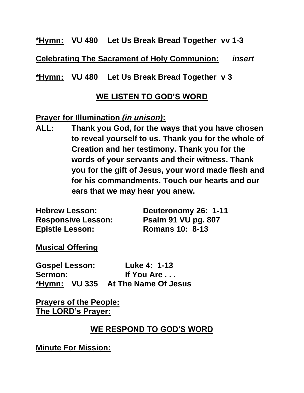#### **\*Hymn: VU 480 Let Us Break Bread Together vv 1-3**

**Celebrating The Sacrament of Holy Communion:** *insert*

**\*Hymn: VU 480 Let Us Break Bread Together v 3**

#### **WE LISTEN TO GOD'S WORD**

#### **Prayer for Illumination** *(in unison)***:**

**ALL: Thank you God, for the ways that you have chosen to reveal yourself to us. Thank you for the whole of Creation and her testimony. Thank you for the words of your servants and their witness. Thank you for the gift of Jesus, your word made flesh and for his commandments. Touch our hearts and our ears that we may hear you anew.**

| <b>Hebrew Lesson:</b>     | Deuteronomy 26: 1-11       |
|---------------------------|----------------------------|
| <b>Responsive Lesson:</b> | <b>Psalm 91 VU pg. 807</b> |
| <b>Epistle Lesson:</b>    | <b>Romans 10: 8-13</b>     |

**Musical Offering**

**Gospel Lesson: Luke 4: 1-13 Sermon: If You Are . . . \*Hymn: VU 335 At The Name Of Jesus**

**Prayers of the People: The LORD's Prayer:**

### **WE RESPOND TO GOD'S WORD**

**Minute For Mission:**